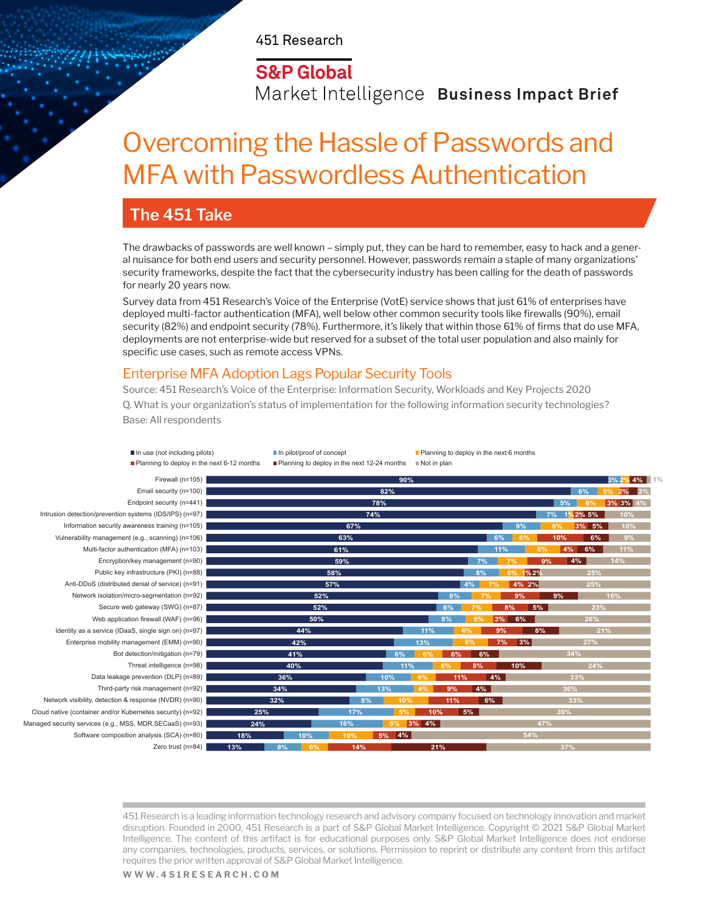451 Research

## **S&P Global**

Market Intelligence **Business Impact Brief** 

## Overcoming the Hassle of Passwords and MFA with Passwordless Authentication

### **The 451 Take**

The drawbacks of passwords are well known – simply put, they can be hard to remember, easy to hack and a general nuisance for both end users and security personnel. However, passwords remain a staple of many organizations' security frameworks, despite the fact that the cybersecurity industry has been calling for the death of passwords for nearly 20 years now.

Survey data from 451 Research's Voice of the Enterprise (VotE) service shows that just 61% of enterprises have deployed multi-factor authentication (MFA), well below other common security tools like firewalls (90%), email security (82%) and endpoint security (78%). Furthermore, it's likely that within those 61% of firms that do use MFA, deployments are not enterprise-wide but reserved for a subset of the total user population and also mainly for specific use cases, such as remote access VPNs.

#### Enterprise MFA Adoption Lags Popular Security Tools

Source: 451 Research's Voice of the Enterprise: Information Security, Workloads and Key Projects 2020 Q. What is your organization's status of implementation for the following information security technologies? Base: All respondents

■ In use (not including pilots) In pilot/proof of concept Planning to deploy in the next 6 months

**Planning to deploy in the next 6-12 months Planning to deploy in the next 12-24 months Planning to deploy in the next 12-24 months** 

Firewall (n=105) Email security (n=100) Endpoint security (n=441) Intrusion detection/prevention systems (IDS/IPS) (n=97) Information security awareness training (n=105) Vulnerability management (e.g., scanning) (n=106) Multi-factor authentication (MFA) (n=103) Encryption/key management (n=90) Public key infrastructure (PKI) (n=88) Anti-DDoS (distributed denial of service) (n=91) Network isolation/micro-segmentation (n=92) Secure web gateway (SWG) (n=87) Web application firewall (WAF) (n=96) Identity as a service (IDaaS, single sign on) (n=97) Enterprise mobility management (EMM) (n=90) Bot detection/mitigation (n=79) Threat intelligence (n=98) Data leakage prevention (DLP) (n=89) Third-party risk management (n=92) Network visibility, detection & response (NVDR) (n=90) Cloud native (container and/or Kubernetes security) (n=92) Managed security services (e.g., MSS, MDR, SECaaS) (n=93) Software composition analysis (SCA) (n=80) Zero trust (n=84)

| 90%                           |                       | 3% 2% 4% 1% |
|-------------------------------|-----------------------|-------------|
| 82%                           | 6%                    | 5% 2%<br>3% |
| 78%                           | 5%<br>6%              | 3% 3% 4%    |
| 74%                           | 7%<br>$1\%2\%5\%$     | 10%         |
| 67%                           | 9%<br>8%<br>3% 5%     | 10%         |
| 63%                           | 6%<br>6%<br>10%       | 9%<br>6%    |
| 61%                           | 8%<br>4%<br>6%<br>11% | 11%         |
| 7%<br>59%                     | 7%<br>$4\%$<br>9%     | 14%         |
| 8%<br>58%                     | 25%<br>6% 1%2%        |             |
| 4%<br>57%                     | 4% 2%<br>25%<br>7%    |             |
| 8%<br>52%                     | 9%<br>9%<br>7%        |             |
| 7%<br>6%<br>52%               | $8\%$<br>5%           | 23%         |
| 8%<br>6%<br>50%               | 3%<br>6%<br>26%       |             |
| 44%<br>11%<br>6%              | 9%<br>8%              | 21%         |
| 42%<br>13%<br>8%              | 27%<br>7%<br>3%       |             |
| 41%<br>6%<br>6%<br>6%<br>6%   | 34%                   |             |
| 40%<br>11%<br>6%<br>8%        | 10%<br>$24\%$         |             |
| 10%<br>6%<br>11%<br>36%       | 33%<br>$ 4\%$         |             |
| 4%<br>34%<br>13%<br>4%<br>9%  | 36%                   |             |
| 32%<br>8%<br>10%<br>11%       | 6%<br>33%             |             |
| 10%<br>5%<br>25%<br>17%<br>5% | 39%                   |             |
| 16%<br>3% 4%<br>24%<br>5%     | 47%                   |             |
| 18%<br>10%<br>5% 4%<br>10%    | 54%                   |             |
| 13%<br>14%<br>8%<br>6%<br>21% | 37%                   |             |

451 Research is a leading information technology research and advisory company focused on technology innovation and market disruption. Founded in 2000, 451 Research is a part of S&P Global Market Intelligence. Copyright © 2021 S&P Global Market Intelligence. The content of this artifact is for educational purposes only. S&P Global Market Intelligence does not endorse any companies, technologies, products, services, or solutions. Permission to reprint or distribute any content from this artifact requires the prior written approval of S&P Global Market Intelligence.